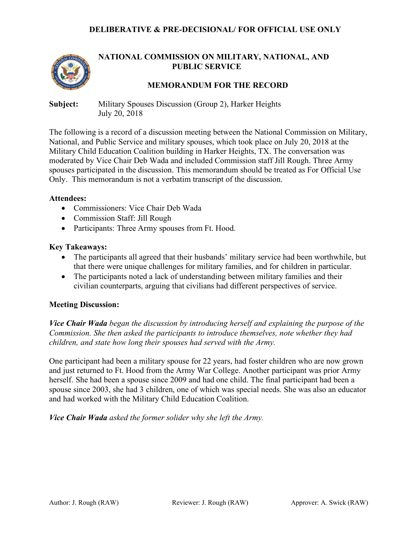

# **NATIONAL COMMISSION ON MILITARY, NATIONAL, AND PUBLIC SERVICE**

## **MEMORANDUM FOR THE RECORD**

**Subject:** Military Spouses Discussion (Group 2), Harker Heights July 20, 2018

The following is a record of a discussion meeting between the National Commission on Military, National, and Public Service and military spouses, which took place on July 20, 2018 at the Military Child Education Coalition building in Harker Heights, TX. The conversation was moderated by Vice Chair Deb Wada and included Commission staff Jill Rough. Three Army spouses participated in the discussion. This memorandum should be treated as For Official Use Only. This memorandum is not a verbatim transcript of the discussion.

#### **Attendees:**

- Commissioners: Vice Chair Deb Wada
- Commission Staff: Jill Rough
- Participants: Three Army spouses from Ft. Hood.

#### **Key Takeaways:**

- The participants all agreed that their husbands' military service had been worthwhile, but that there were unique challenges for military families, and for children in particular.
- The participants noted a lack of understanding between military families and their civilian counterparts, arguing that civilians had different perspectives of service.

#### **Meeting Discussion:**

*Vice Chair Wada began the discussion by introducing herself and explaining the purpose of the Commission. She then asked the participants to introduce themselves, note whether they had children, and state how long their spouses had served with the Army.*

One participant had been a military spouse for 22 years, had foster children who are now grown and just returned to Ft. Hood from the Army War College. Another participant was prior Army herself. She had been a spouse since 2009 and had one child. The final participant had been a spouse since 2003, she had 3 children, one of which was special needs. She was also an educator and had worked with the Military Child Education Coalition.

*Vice Chair Wada asked the former solider why she left the Army.*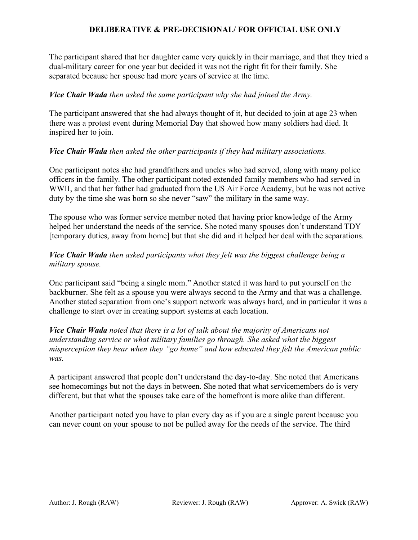The participant shared that her daughter came very quickly in their marriage, and that they tried a dual-military career for one year but decided it was not the right fit for their family. She separated because her spouse had more years of service at the time.

## *Vice Chair Wada then asked the same participant why she had joined the Army.*

The participant answered that she had always thought of it, but decided to join at age 23 when there was a protest event during Memorial Day that showed how many soldiers had died. It inspired her to join.

## *Vice Chair Wada then asked the other participants if they had military associations.*

One participant notes she had grandfathers and uncles who had served, along with many police officers in the family. The other participant noted extended family members who had served in WWII, and that her father had graduated from the US Air Force Academy, but he was not active duty by the time she was born so she never "saw" the military in the same way.

The spouse who was former service member noted that having prior knowledge of the Army helped her understand the needs of the service. She noted many spouses don't understand TDY [temporary duties, away from home] but that she did and it helped her deal with the separations.

# *Vice Chair Wada then asked participants what they felt was the biggest challenge being a military spouse.*

One participant said "being a single mom." Another stated it was hard to put yourself on the backburner. She felt as a spouse you were always second to the Army and that was a challenge. Another stated separation from one's support network was always hard, and in particular it was a challenge to start over in creating support systems at each location.

## *Vice Chair Wada noted that there is a lot of talk about the majority of Americans not understanding service or what military families go through. She asked what the biggest misperception they hear when they "go home" and how educated they felt the American public was.*

A participant answered that people don't understand the day-to-day. She noted that Americans see homecomings but not the days in between. She noted that what servicemembers do is very different, but that what the spouses take care of the homefront is more alike than different.

Another participant noted you have to plan every day as if you are a single parent because you can never count on your spouse to not be pulled away for the needs of the service. The third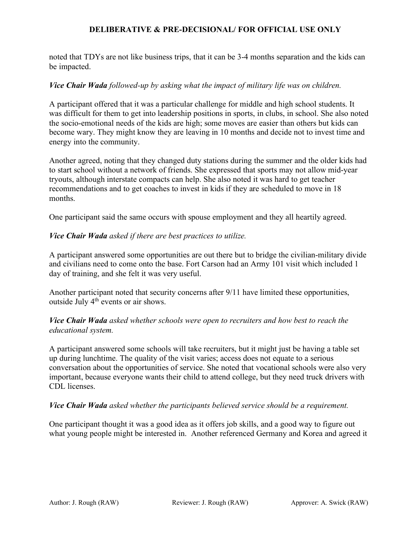noted that TDYs are not like business trips, that it can be 3-4 months separation and the kids can be impacted.

## *Vice Chair Wada followed-up by asking what the impact of military life was on children.*

A participant offered that it was a particular challenge for middle and high school students. It was difficult for them to get into leadership positions in sports, in clubs, in school. She also noted the socio-emotional needs of the kids are high; some moves are easier than others but kids can become wary. They might know they are leaving in 10 months and decide not to invest time and energy into the community.

Another agreed, noting that they changed duty stations during the summer and the older kids had to start school without a network of friends. She expressed that sports may not allow mid-year tryouts, although interstate compacts can help. She also noted it was hard to get teacher recommendations and to get coaches to invest in kids if they are scheduled to move in 18 months.

One participant said the same occurs with spouse employment and they all heartily agreed.

## *Vice Chair Wada asked if there are best practices to utilize.*

A participant answered some opportunities are out there but to bridge the civilian-military divide and civilians need to come onto the base. Fort Carson had an Army 101 visit which included 1 day of training, and she felt it was very useful.

Another participant noted that security concerns after 9/11 have limited these opportunities, outside July 4th events or air shows.

## *Vice Chair Wada asked whether schools were open to recruiters and how best to reach the educational system.*

A participant answered some schools will take recruiters, but it might just be having a table set up during lunchtime. The quality of the visit varies; access does not equate to a serious conversation about the opportunities of service. She noted that vocational schools were also very important, because everyone wants their child to attend college, but they need truck drivers with CDL licenses.

#### *Vice Chair Wada asked whether the participants believed service should be a requirement.*

One participant thought it was a good idea as it offers job skills, and a good way to figure out what young people might be interested in. Another referenced Germany and Korea and agreed it